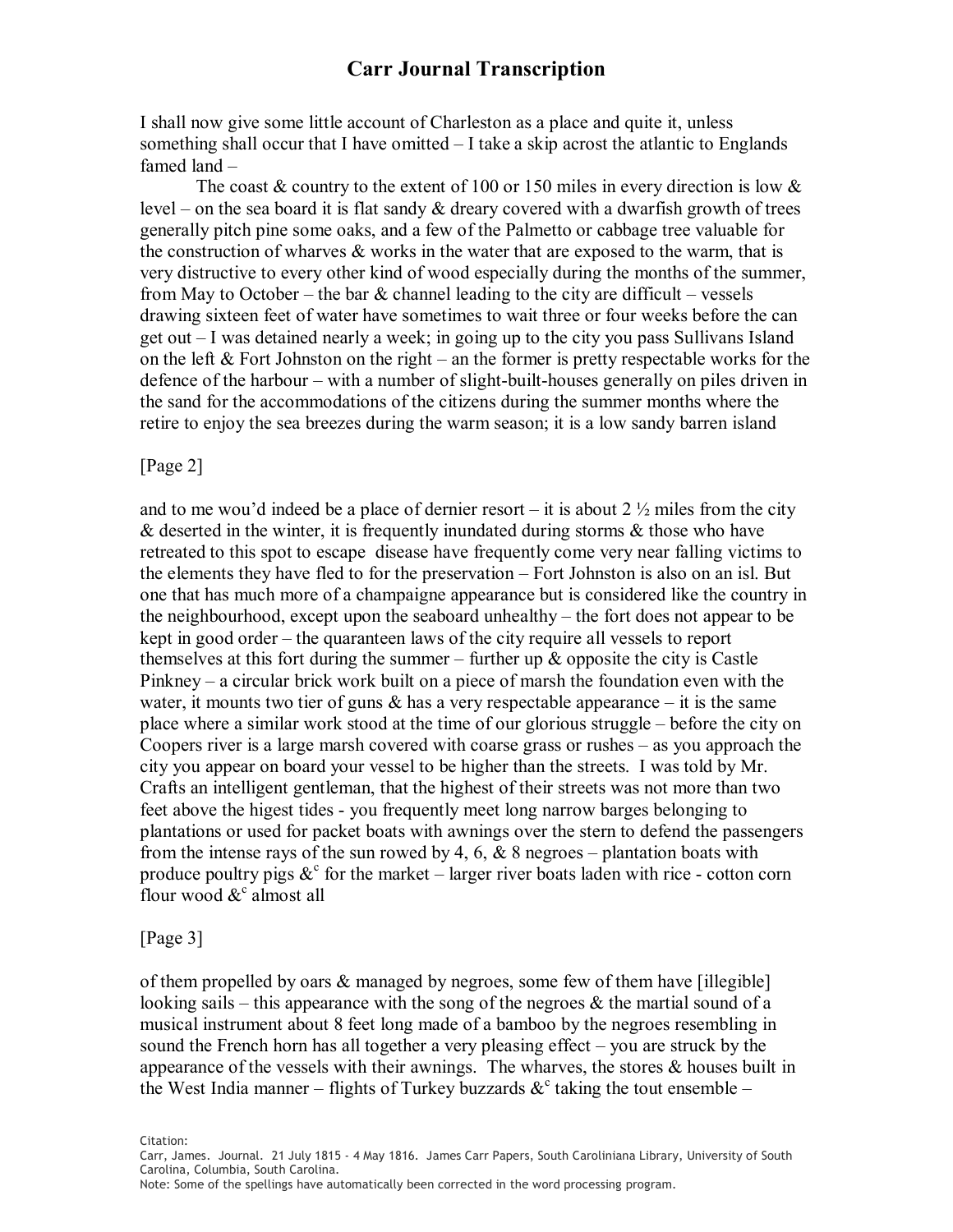I shall now give some little account of Charleston as a place and quite it, unless something shall occur that I have omitted  $-I$  take a skip acrost the atlantic to Englands famed land –

The coast  $\&$  country to the extent of 100 or 150 miles in every direction is low  $\&$ level – on the sea board it is flat sandy  $\&$  dreary covered with a dwarfish growth of trees generally pitch pine some oaks, and a few of the Palmetto or cabbage tree valuable for the construction of wharves  $\&$  works in the water that are exposed to the warm, that is very distructive to every other kind of wood especially during the months of the summer, from May to October – the bar  $\&$  channel leading to the city are difficult – vessels drawing sixteen feet of water have sometimes to wait three or four weeks before the can get out – I was detained nearly a week; in going up to the city you pass Sullivans Island on the left  $\&$  Fort Johnston on the right – an the former is pretty respectable works for the defence of the harbour – with a number of slight-built-houses generally on piles driven in the sand for the accommodations of the citizens during the summer months where the retire to enjoy the sea breezes during the warm season; it is a low sandy barren island

### [Page 2]

and to me wou'd indeed be a place of dernier resort – it is about  $2\frac{1}{2}$  miles from the city  $\&$  deserted in the winter, it is frequently inundated during storms  $\&$  those who have retreated to this spot to escape disease have frequently come very near falling victims to the elements they have fled to for the preservation – Fort Johnston is also on an isl. But one that has much more of a champaigne appearance but is considered like the country in the neighbourhood, except upon the seaboard unhealthy – the fort does not appear to be kept in good order – the quaranteen laws of the city require all vessels to report themselves at this fort during the summer – further up  $\&$  opposite the city is Castle Pinkney – a circular brick work built on a piece of marsh the foundation even with the water, it mounts two tier of guns  $\&$  has a very respectable appearance – it is the same place where a similar work stood at the time of our glorious struggle – before the city on Coopers river is a large marsh covered with coarse grass or rushes – as you approach the city you appear on board your vessel to be higher than the streets. I was told by Mr. Crafts an intelligent gentleman, that the highest of their streets was not more than two feet above the higest tides - you frequently meet long narrow barges belonging to plantations or used for packet boats with awnings over the stern to defend the passengers from the intense rays of the sun rowed by 4, 6,  $\&$  8 negroes – plantation boats with produce poultry pigs  $\&^c$  for the market – larger river boats laden with rice - cotton corn flour wood  $\&^c$  almost all

#### [Page 3]

of them propelled by oars & managed by negroes, some few of them have [illegible] looking sails – this appearance with the song of the negroes  $\&$  the martial sound of a musical instrument about 8 feet long made of a bamboo by the negroes resembling in sound the French horn has all together a very pleasing effect – you are struck by the appearance of the vessels with their awnings. The wharves, the stores  $\&$  houses built in the West India manner – flights of Turkey buzzards  $\&^c$  taking the tout ensemble –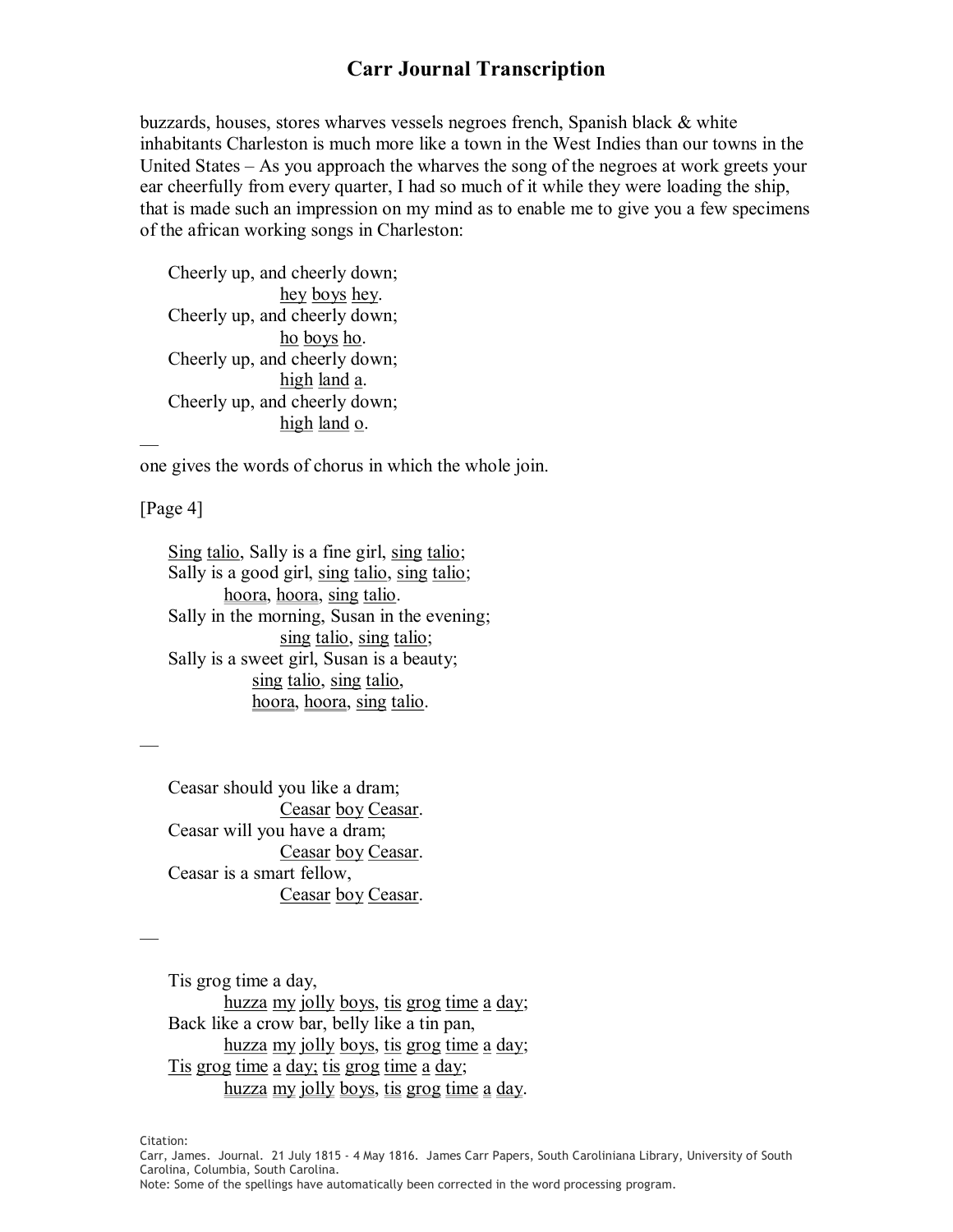buzzards, houses, stores wharves vessels negroes french, Spanish black & white inhabitants Charleston is much more like a town in the West Indies than our towns in the United States – As you approach the wharves the song of the negroes at work greets your ear cheerfully from every quarter, I had so much of it while they were loading the ship, that is made such an impression on my mind as to enable me to give you a few specimens of the african working songs in Charleston:

Cheerly up, and cheerly down; hey boys hey. Cheerly up, and cheerly down; ho boys ho. Cheerly up, and cheerly down; high land a. Cheerly up, and cheerly down; high land o. —

one gives the words of chorus in which the whole join.

[Page 4]

—

—

Sing talio, Sally is a fine girl, sing talio; Sally is a good girl, sing talio, sing talio; hoora, hoora, sing talio. Sally in the morning, Susan in the evening; sing talio, sing talio; Sally is a sweet girl, Susan is a beauty; sing talio, sing talio, hoora, hoora, sing talio.

Ceasar should you like a dram; Ceasar boy Ceasar. Ceasar will you have a dram; Ceasar boy Ceasar. Ceasar is a smart fellow, Ceasar boy Ceasar.

Tis grog time a day, huzza my jolly boys, tis grog time a day; Back like a crow bar, belly like a tin pan, huzza my jolly boys, tis grog time a day; Tis grog time a day; tis grog time a day; huzza my jolly boys, tis grog time a day.

Citation:<br>Carr, James. Journal. 21 July 1815 ‑ 4 May 1816. James Carr Papers, South Caroliniana Library, University of South<br>Carolina, Columbia, South Carolina.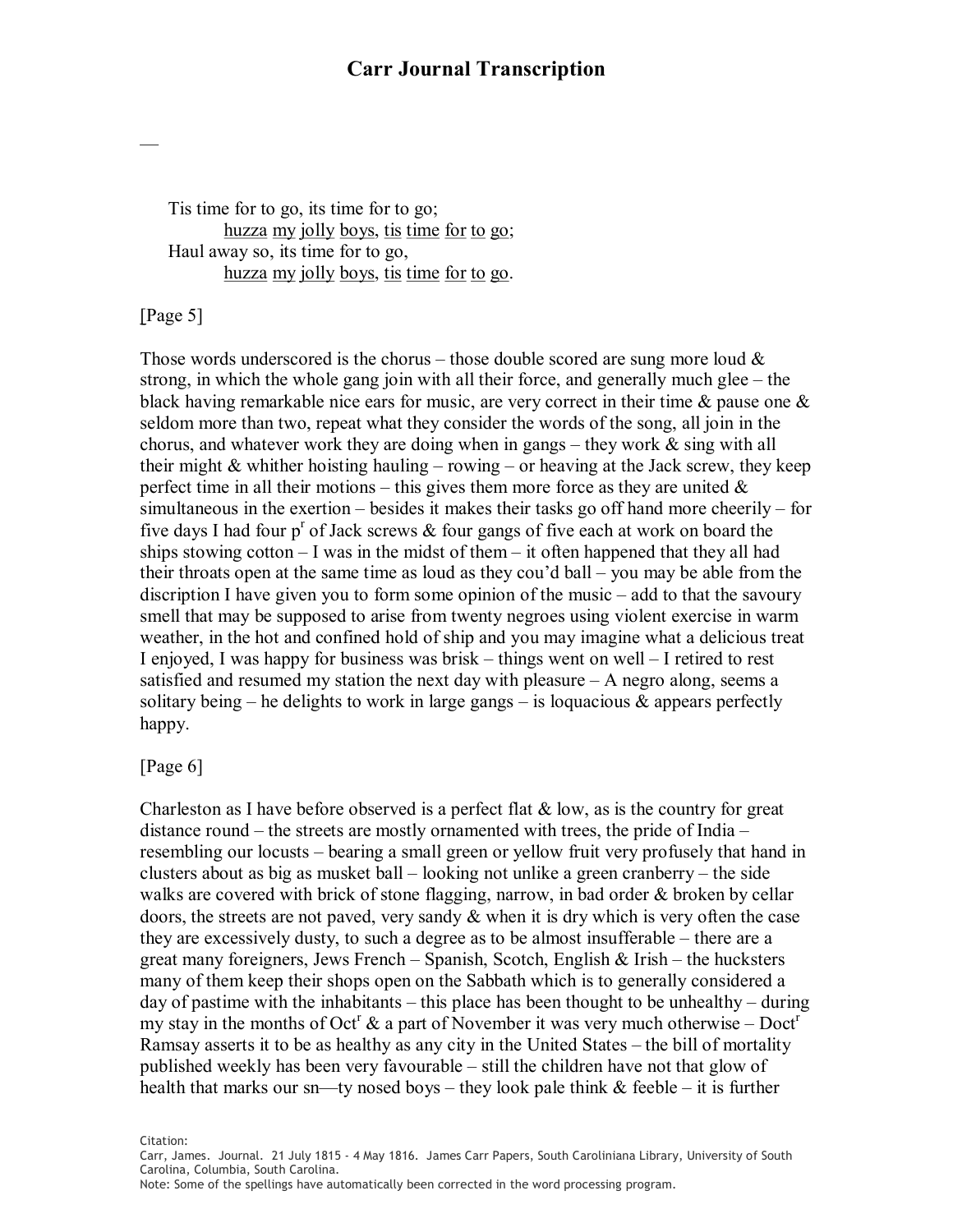Tis time for to go, its time for to go; huzza my jolly boys, tis time for to go; Haul away so, its time for to go, huzza my jolly boys, tis time for to go.

[Page 5]

—

Those words underscored is the chorus – those double scored are sung more loud  $\&$ strong, in which the whole gang join with all their force, and generally much glee – the black having remarkable nice ears for music, are very correct in their time & pause one & seldom more than two, repeat what they consider the words of the song, all join in the chorus, and whatever work they are doing when in gangs – they work  $\&$  sing with all their might  $&$  whither hoisting hauling – rowing – or heaving at the Jack screw, they keep perfect time in all their motions – this gives them more force as they are united  $\&$ simultaneous in the exertion – besides it makes their tasks go off hand more cheerily – for five days I had four p<sup>r</sup> of Jack screws  $\&$  four gangs of five each at work on board the ships stowing cotton  $-1$  was in the midst of them  $-$  it often happened that they all had their throats open at the same time as loud as they cou'd ball – you may be able from the discription I have given you to form some opinion of the music – add to that the savoury smell that may be supposed to arise from twenty negroes using violent exercise in warm weather, in the hot and confined hold of ship and you may imagine what a delicious treat I enjoyed, I was happy for business was brisk – things went on well – I retired to rest satisfied and resumed my station the next day with pleasure – A negro along, seems a solitary being – he delights to work in large gangs – is loquacious  $\&$  appears perfectly happy.

### [Page 6]

Charleston as I have before observed is a perfect flat  $\&$  low, as is the country for great distance round – the streets are mostly ornamented with trees, the pride of India – resembling our locusts – bearing a small green or yellow fruit very profusely that hand in clusters about as big as musket ball – looking not unlike a green cranberry – the side walks are covered with brick of stone flagging, narrow, in bad order & broken by cellar doors, the streets are not paved, very sandy & when it is dry which is very often the case they are excessively dusty, to such a degree as to be almost insufferable – there are a great many foreigners, Jews French – Spanish, Scotch, English  $\&$  Irish – the hucksters many of them keep their shops open on the Sabbath which is to generally considered a day of pastime with the inhabitants – this place has been thought to be unhealthy – during my stay in the months of Oct<sup>r</sup> & a part of November it was very much otherwise – Doct<sup>r</sup> Ramsay asserts it to be as healthy as any city in the United States – the bill of mortality published weekly has been very favourable – still the children have not that glow of health that marks our sn—ty nosed boys – they look pale think  $\&$  feeble – it is further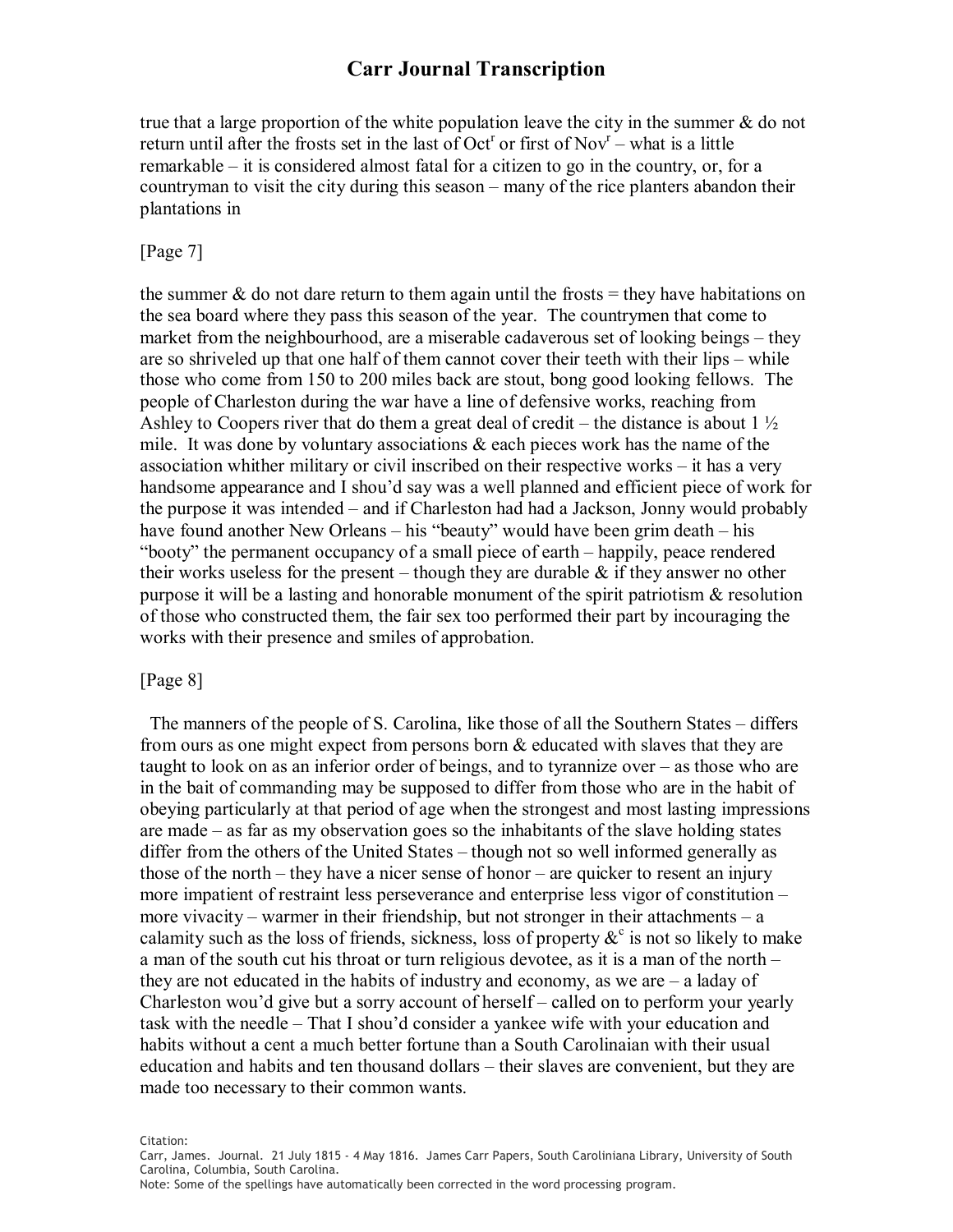true that a large proportion of the white population leave the city in the summer  $\&$  do not return until after the frosts set in the last of  $Oct^r$  or first of  $Nov^r$  – what is a little remarkable – it is considered almost fatal for a citizen to go in the country, or, for a countryman to visit the city during this season – many of the rice planters abandon their plantations in

### [Page 7]

the summer  $\&$  do not dare return to them again until the frosts = they have habitations on the sea board where they pass this season of the year. The countrymen that come to market from the neighbourhood, are a miserable cadaverous set of looking beings – they are so shriveled up that one half of them cannot cover their teeth with their lips – while those who come from 150 to 200 miles back are stout, bong good looking fellows. The people of Charleston during the war have a line of defensive works, reaching from Ashley to Coopers river that do them a great deal of credit – the distance is about  $1 \frac{1}{2}$ mile. It was done by voluntary associations & each pieces work has the name of the association whither military or civil inscribed on their respective works – it has a very handsome appearance and I shou'd say was a well planned and efficient piece of work for the purpose it was intended – and if Charleston had had a Jackson, Jonny would probably have found another New Orleans – his "beauty" would have been grim death – his "booty" the permanent occupancy of a small piece of earth – happily, peace rendered their works useless for the present – though they are durable  $\&$  if they answer no other purpose it will be a lasting and honorable monument of the spirit patriotism  $\&$  resolution of those who constructed them, the fair sex too performed their part by incouraging the works with their presence and smiles of approbation.

### [Page 8]

The manners of the people of S. Carolina, like those of all the Southern States – differs from ours as one might expect from persons born & educated with slaves that they are taught to look on as an inferior order of beings, and to tyrannize over – as those who are in the bait of commanding may be supposed to differ from those who are in the habit of obeying particularly at that period of age when the strongest and most lasting impressions are made – as far as my observation goes so the inhabitants of the slave holding states differ from the others of the United States – though not so well informed generally as those of the north – they have a nicer sense of honor – are quicker to resent an injury more impatient of restraint less perseverance and enterprise less vigor of constitution – more vivacity – warmer in their friendship, but not stronger in their attachments – a calamity such as the loss of friends, sickness, loss of property  $\&c$  is not so likely to make a man of the south cut his throat or turn religious devotee, as it is a man of the north – they are not educated in the habits of industry and economy, as we are – a laday of Charleston wou'd give but a sorry account of herself – called on to perform your yearly task with the needle – That I shou'd consider a yankee wife with your education and habits without a cent a much better fortune than a South Carolinaian with their usual education and habits and ten thousand dollars – their slaves are convenient, but they are made too necessary to their common wants.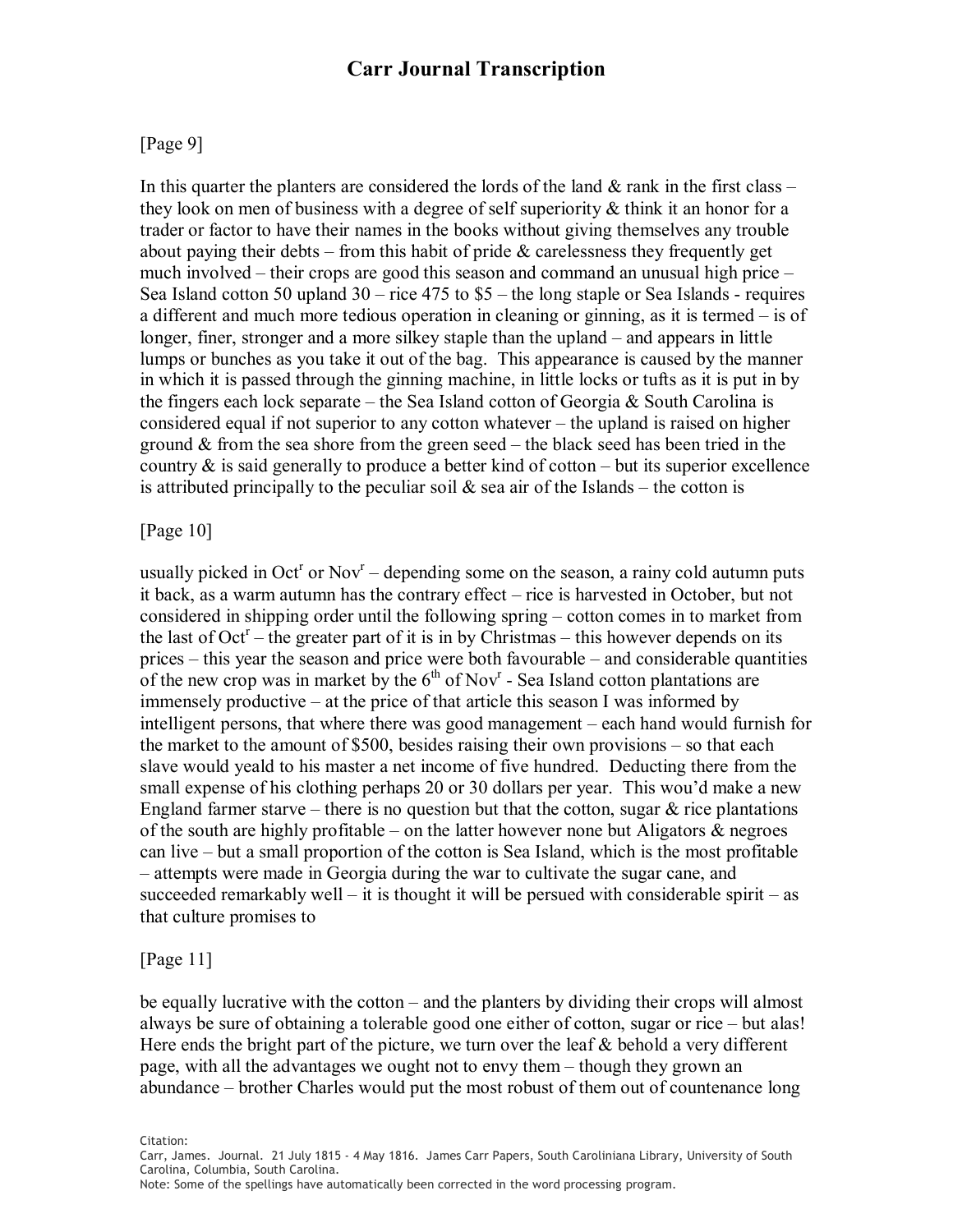### [Page 9]

In this quarter the planters are considered the lords of the land  $\&$  rank in the first class – they look on men of business with a degree of self superiority  $\&$  think it an honor for a trader or factor to have their names in the books without giving themselves any trouble about paying their debts – from this habit of pride  $\&$  carelessness they frequently get much involved – their crops are good this season and command an unusual high price – Sea Island cotton 50 upland  $30 -$  rice  $475$  to  $\$5 -$  the long staple or Sea Islands - requires a different and much more tedious operation in cleaning or ginning, as it is termed – is of longer, finer, stronger and a more silkey staple than the upland – and appears in little lumps or bunches as you take it out of the bag. This appearance is caused by the manner in which itis passed through the ginning machine, in little locks or tufts as it is put in by the fingers each lock separate – the Sea Island cotton of Georgia & South Carolina is considered equal if not superior to any cotton whatever – the upland is raised on higher ground  $\&$  from the sea shore from the green seed – the black seed has been tried in the country  $\&$  is said generally to produce a better kind of cotton – but its superior excellence is attributed principally to the peculiar soil  $\&$  sea air of the Islands – the cotton is

### [Page 10]

usually picked in Oct<sup>r</sup> or Nov<sup>r</sup> – depending some on the season, a rainy cold autumn puts it back, as a warm autumn has the contrary effect – rice is harvested in October, but not considered in shipping order until the following spring – cotton comes in to market from the last of  $Oct<sup>r</sup>$  – the greater part of it is in by Christmas – this however depends on its prices – this year the season and price were both favourable – and considerable quantities of the new crop was in market by the  $6<sup>th</sup>$  of Nov<sup>r</sup> - Sea Island cotton plantations are immensely productive – at the price of that article this season I was informed by intelligent persons, that where there was good management – each hand would furnish for the market to the amount of \$500, besides raising their own provisions – so that each slave would yeald to his master a net income of five hundred. Deducting there from the small expense of his clothing perhaps 20 or 30 dollars per year. This wou'd make a new England farmer starve – there is no question but that the cotton, sugar  $\&$  rice plantations of the south are highly profitable – on the latter however none but Aligators  $\&$  negroes can live – but a small proportion of the cotton is Sea Island, which is the most profitable – attempts were made in Georgia during the war to cultivate the sugar cane, and succeeded remarkably well – it is thought it will be persued with considerable spirit – as that culture promises to

### [Page 11]

be equally lucrative with the cotton – and the planters by dividing their crops will almost always be sure of obtaining a tolerable good one either of cotton, sugar or rice – but alas! Here ends the bright part of the picture, we turn over the leaf  $\&$  behold a very different page, with all the advantages we ought not to envy them – though they grown an abundance – brother Charles would put the most robust of them out of countenance long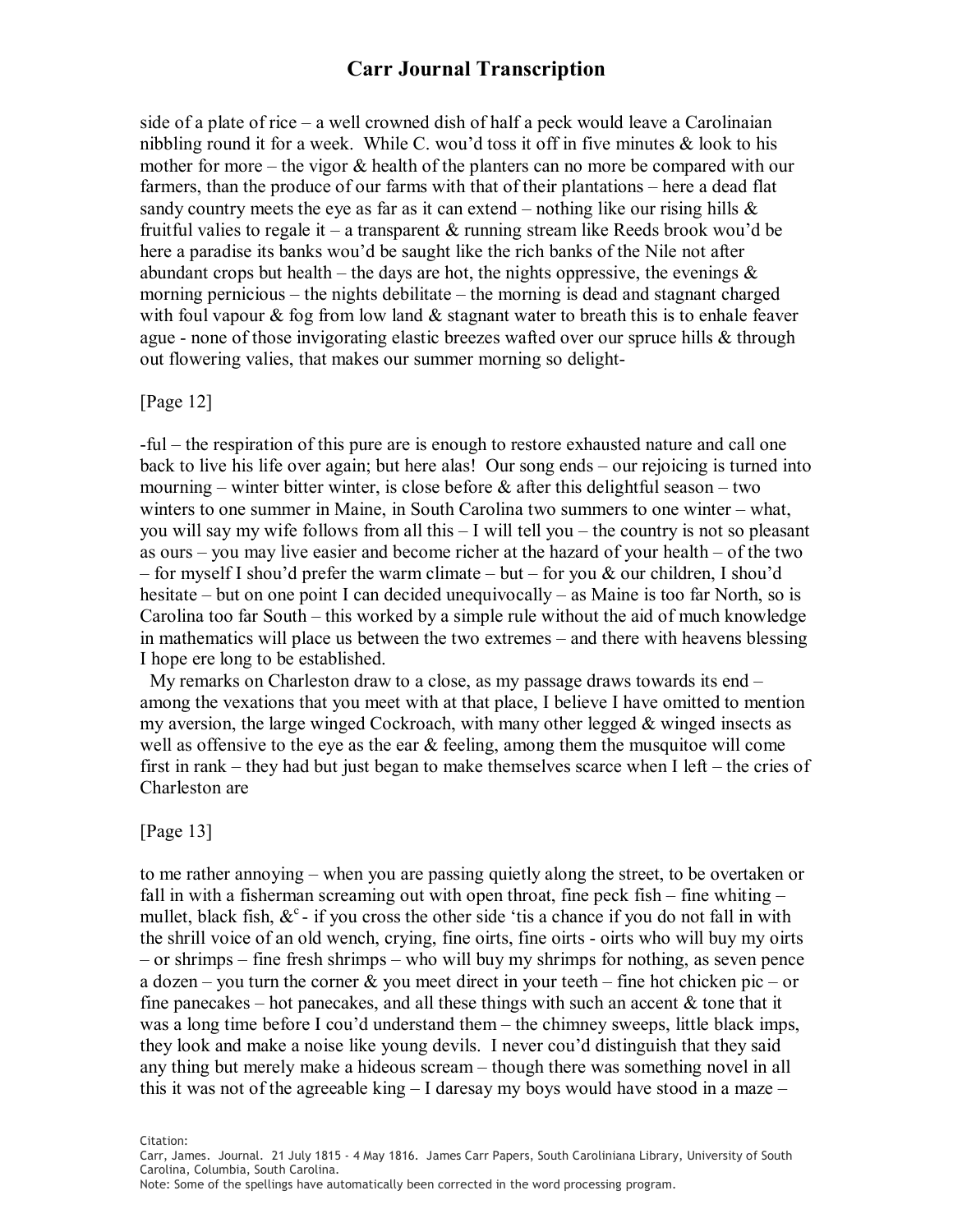side of a plate of rice – a well crowned dish of half a peck would leave a Carolinaian nibbling round it for a week. While C. wou'd toss it off in five minutes  $\&$  look to his mother for more – the vigor  $\&$  health of the planters can no more be compared with our farmers, than the produce of our farms with that of their plantations – here a dead flat sandy country meets the eye as far as it can extend – nothing like our rising hills  $\&$ fruitful valies to regale it – a transparent  $\&$  running stream like Reeds brook wou'd be here a paradise its banks wou'd be saught like the rich banks of the Nile not after abundant crops but health – the days are hot, the nights oppressive, the evenings  $\&$ morning pernicious – the nights debilitate – the morning is dead and stagnant charged with foul vapour  $\&$  fog from low land  $\&$  stagnant water to breath this is to enhale feaver ague - none of those invigorating elastic breezes wafted over our spruce hills & through out flowering valies, that makes our summer morning so delight

#### [Page 12]

ful – the respiration of this pure are is enough to restore exhausted nature and call one back to live his life over again; but here alas! Our song ends – our rejoicing is turned into mourning – winter bitter winter, is close before  $\&$  after this delightful season – two winters to one summer in Maine, in South Carolina two summers to one winter – what, you will say my wife follows from all this – I will tell you – the country is not so pleasant as ours – you may live easier and become richer at the hazard of your health – of the two – for myself I shou'd prefer the warm climate – but – for you  $\&$  our children, I shou'd hesitate – but on one point I can decided unequivocally – as Maine is too far North, so is Carolina too far South – this worked by a simple rule without the aid of much knowledge in mathematics will place us between the two extremes – and there with heavens blessing I hope ere long to be established.

My remarks on Charleston draw to a close, as my passage draws towards its end – among the vexations that you meet with at that place, I believe I have omitted to mention my aversion, the large winged Cockroach, with many other legged & winged insects as well as offensive to the eye as the ear  $\&$  feeling, among them the musquitoe will come first in rank – they had but just began to make themselves scarce when  $I$  left – the cries of Charleston are

#### [Page 13]

to me rather annoying – when you are passing quietly along the street, to be overtaken or fall in with a fisherman screaming out with open throat, fine peck fish – fine whiting – mullet, black fish,  $\&^c$  - if you cross the other side 'tis a chance if you do not fall in with the shrill voice of an old wench, crying, fine oirts, fine oirts - oirts who will buy my oirts – or shrimps – fine fresh shrimps – who will buy my shrimps for nothing, as seven pence a dozen – you turn the corner  $\&$  you meet direct in your teeth – fine hot chicken pic – or fine panecakes – hot panecakes, and all these things with such an accent  $\&$  tone that it was a long time before I cou'd understand them – the chimney sweeps, little black imps, they look and make a noise like young devils. I never cou'd distinguish that they said any thing but merely make a hideous scream – though there was something novel in all this it was not of the agreeable king  $-1$  daresay my boys would have stood in a maze  $-$